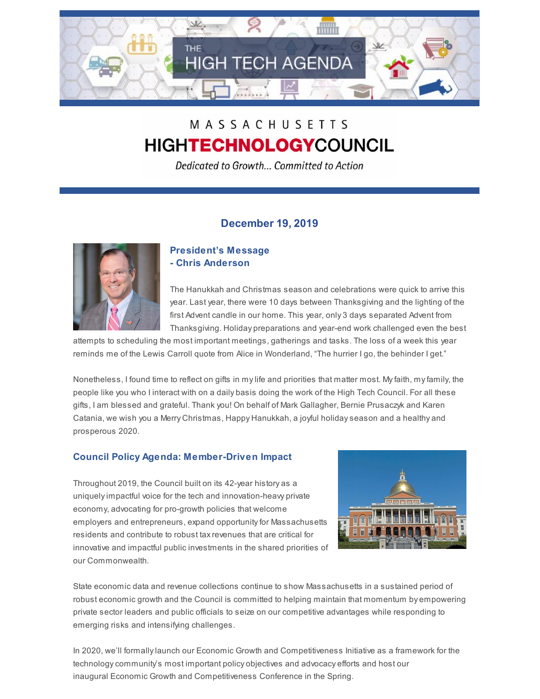

# MASSACHUSETTS **HIGHTECHNOLOGYCOUNCIL**

Dedicated to Growth... Committed to Action

## **December 19, 2019**



## **President's Message - Chris Anderson**

The Hanukkah and Christmas season and celebrations were quick to arrive this year. Last year, there were 10 days between Thanksgiving and the lighting of the first Advent candle in our home. This year, only 3 days separated Advent from Thanksgiving. Holiday preparations and year-end work challenged even the best

attempts to scheduling the most important meetings, gatherings and tasks. The loss of a week this year reminds me of the Lewis Carroll quote from Alice in Wonderland, "The hurrier I go, the behinder I get."

Nonetheless, I found time to reflect on gifts in mylife and priorities that matter most. Myfaith, myfamily, the people like you who I interact with on a daily basis doing the work of the High Tech Council. For all these gifts, I am blessed and grateful. Thank you! On behalf of Mark Gallagher, Bernie Prusaczyk and Karen Catania, we wish you a Merry Christmas, Happy Hanukkah, a joyful holidayseason and a healthy and prosperous 2020.

## **Council Policy Agenda: Member-Driven Impact**

Throughout 2019, the Council built on its 42-year history as a uniquelyimpactful voice for the tech and innovation-heavy private economy, advocating for pro-growth policies that welcome employers and entrepreneurs, expand opportunityfor Massachusetts residents and contribute to robust taxrevenues that are critical for innovative and impactful public investments in the shared priorities of our Commonwealth.



State economic data and revenue collections continue to show Massachusetts in a sustained period of robust economic growth and the Council is committed to helping maintain that momentum by empowering private sector leaders and public officials to seize on our competitive advantages while responding to emerging risks and intensifying challenges.

In 2020, we'll formally launch our Economic Growth and Competitiveness Initiative as a framework for the technologycommunity's most important policy objectives and advocacy efforts and host our inaugural Economic Growth and Competitiveness Conference in the Spring.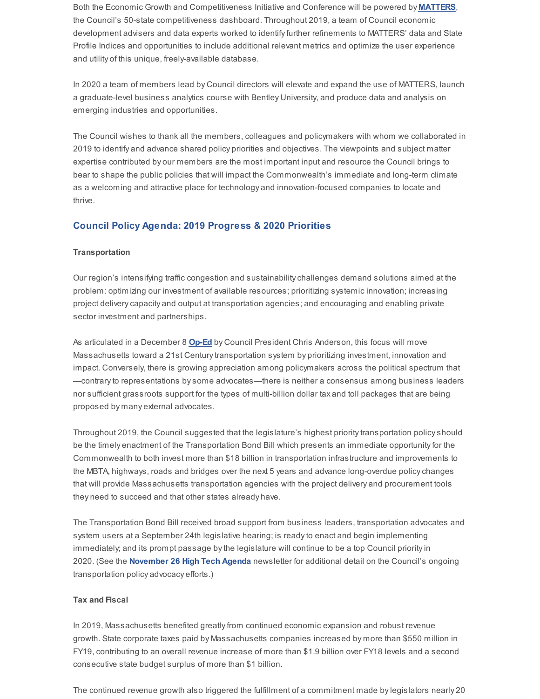Both the Economic Growth and Competitiveness Initiative and Conference will be powered by **MATTERS**, the Council's 50-state competitiveness dashboard. Throughout 2019, a team of Council economic development advisers and data experts worked to identifyfurther refinements to MATTERS' data and State Profile Indices and opportunities to include additional relevant metrics and optimize the user experience and utility of this unique, freely-available database.

In 2020 a team of members lead by Council directors will elevate and expand the use of MATTERS, launch a graduate-level business analytics course with Bentley University, and produce data and analysis on emerging industries and opportunities.

The Council wishes to thank all the members, colleagues and policymakers with whom we collaborated in 2019 to identify and advance shared policy priorities and objectives. The viewpoints and subject matter expertise contributed by our members are the most important input and resource the Council brings to bear to shape the public policies that will impact the Commonwealth's immediate and long-term climate as a welcoming and attractive place for technology and innovation-focused companies to locate and thrive.

### **Council Policy Agenda: 2019 Progress & 2020 Priorities**

#### **Transportation**

Our region's intensifying traffic congestion and sustainabilitychallenges demand solutions aimed at the problem: optimizing our investment of available resources; prioritizing systemic innovation; increasing project deliverycapacity and output at transportation agencies; and encouraging and enabling private sector investment and partnerships.

As articulated in a December 8 **Op-Ed** by Council President Chris Anderson, this focus will move Massachusetts toward a 21st Century transportation system by prioritizing investment, innovation and impact. Conversely, there is growing appreciation among policymakers across the political spectrum that —contraryto representations bysome advocates—there is neither a consensus among business leaders nor sufficient grassroots support for the types of multi-billion dollar tax and toll packages that are being proposed by many external advocates.

Throughout 2019, the Council suggested that the legislature's highest prioritytransportation policyshould be the timely enactment of the Transportation Bond Bill which presents an immediate opportunity for the Commonwealth to **both invest more than \$18 billion in transportation infrastructure and improvements to** the MBTA, highways, roads and bridges over the next 5 years and advance long-overdue policy changes that will provide Massachusetts transportation agencies with the project delivery and procurement tools they need to succeed and that other states already have.

The Transportation Bond Bill received broad support from business leaders, transportation advocates and system users at a September 24th legislative hearing; is readyto enact and begin implementing immediately; and its prompt passage bythe legislature will continue to be a top Council priorityin 2020. (See the **November 26 High Tech Agenda** newsletter for additional detail on the Council's ongoing transportation policy advocacy efforts.)

#### **Tax and Fiscal**

In 2019, Massachusetts benefited greatlyfrom continued economic expansion and robust revenue growth. State corporate taxes paid by Massachusetts companies increased by more than \$550 million in FY19, contributing to an overall revenue increase of more than \$1.9 billion over FY18 levels and a second consecutive state budget surplus of more than \$1 billion.

The continued revenue growth also triggered the fulfillment of a commitment made bylegislators nearly 20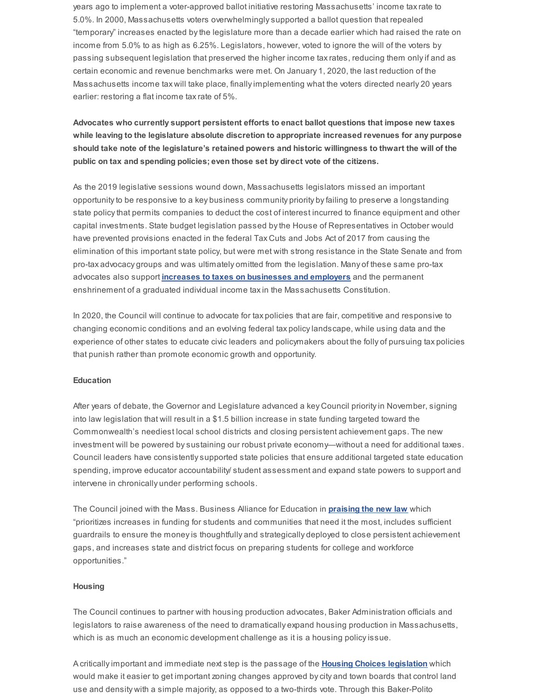years ago to implement a voter-approved ballot initiative restoring Massachusetts' income taxrate to 5.0%. In 2000, Massachusetts voters overwhelminglysupported a ballot question that repealed "temporary" increases enacted bythe legislature more than a decade earlier which had raised the rate on income from 5.0% to as high as 6.25%. Legislators, however, voted to ignore the will of the voters by passing subsequent legislation that preserved the higher income taxrates, reducing them onlyif and as certain economic and revenue benchmarks were met. On January 1, 2020, the last reduction of the Massachusetts income tax will take place, finallyimplementing what the voters directed nearly 20 years earlier: restoring a flat income taxrate of 5%.

**Advocates who currently support persistent efforts to enact ballot questions that impose new taxes while leaving to the legislature absolute discretion to appropriate increased revenues for any purpose should take note of the legislature's retained powers and historic willingness to thwart the will of the public on tax and spending policies; even those set by direct vote of the citizens.**

As the 2019 legislative sessions wound down, Massachusetts legislators missed an important opportunityto be responsive to a key business community priority byfailing to preserve a longstanding state policy that permits companies to deduct the cost of interest incurred to finance equipment and other capital investments. State budget legislation passed bythe House of Representatives in October would have prevented provisions enacted in the federal Tax Cuts and Jobs Act of 2017 from causing the elimination of this important state policy, but were met with strong resistance in the State Senate and from pro-tax advocacy groups and was ultimately omitted from the legislation. Many of these same pro-tax advocates also support **increases to taxes on businesses and employers** and the permanent enshrinement of a graduated individual income taxin the Massachusetts Constitution.

In 2020, the Council will continue to advocate for tax policies that are fair, competitive and responsive to changing economic conditions and an evolving federal tax policylandscape, while using data and the experience of other states to educate civic leaders and policymakers about the folly of pursuing tax policies that punish rather than promote economic growth and opportunity.

#### **Education**

After years of debate, the Governor and Legislature advanced a key Council priorityin November, signing into law legislation that will result in a \$1.5 billion increase in state funding targeted toward the Commonwealth's neediest local school districts and closing persistent achievement gaps. The new investment will be powered bysustaining our robust private economy—without a need for additional taxes. Council leaders have consistentlysupported state policies that ensure additional targeted state education spending, improve educator accountability/ student assessment and expand state powers to support and intervene in chronically under performing schools.

The Council joined with the Mass. Business Alliance for Education in **praising the new law** which "prioritizes increases in funding for students and communities that need it the most, includes sufficient guardrails to ensure the moneyis thoughtfully and strategically deployed to close persistent achievement gaps, and increases state and district focus on preparing students for college and workforce opportunities."

#### **Housing**

The Council continues to partner with housing production advocates, Baker Administration officials and legislators to raise awareness of the need to dramatically expand housing production in Massachusetts, which is as much an economic development challenge as it is a housing policyissue.

A criticallyimportant and immediate next step is the passage of the **Housing Choices legislation** which would make it easier to get important zoning changes approved bycity and town boards that control land use and density with a simple majority, as opposed to a two-thirds vote. Through this Baker-Polito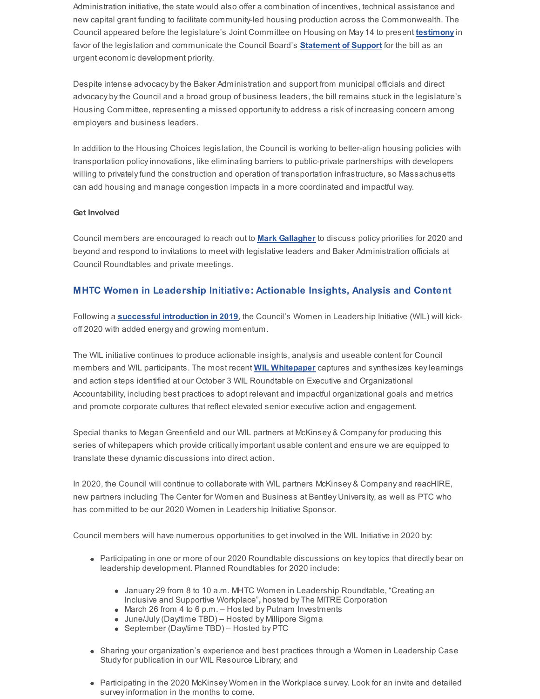Administration initiative, the state would also offer a combination of incentives, technical assistance and new capital grant funding to facilitate community-led housing production across the Commonwealth. The Council appeared before the legislature's Joint Committee on Housing on May 14 to present **testimony** in favor of the legislation and communicate the Council Board's **Statement of Support** for the bill as an urgent economic development priority.

Despite intense advocacy bythe Baker Administration and support from municipal officials and direct advocacy bythe Council and a broad group of business leaders, the bill remains stuck in the legislature's Housing Committee, representing a missed opportunityto address a risk of increasing concern among employers and business leaders.

In addition to the Housing Choices legislation, the Council is working to better-align housing policies with transportation policyinnovations, like eliminating barriers to public-private partnerships with developers willing to privately fund the construction and operation of transportation infrastructure, so Massachusetts can add housing and manage congestion impacts in a more coordinated and impactful way.

#### **Get Involved**

Council members are encouraged to reach out to **Mark Gallagher** to discuss policy priorities for 2020 and beyond and respond to invitations to meet with legislative leaders and Baker Administration officials at Council Roundtables and private meetings.

## **MHTC Women in Leadership Initiative: Actionable Insights, Analysis and Content**

Following a **successful introduction in 2019**, the Council's Women in Leadership Initiative (WIL) will kickoff 2020 with added energy and growing momentum.

The WIL initiative continues to produce actionable insights, analysis and useable content for Council members and WIL participants. The most recent **WIL Whitepaper** captures and synthesizes keylearnings and action steps identified at our October 3 WIL Roundtable on Executive and Organizational Accountability, including best practices to adopt relevant and impactful organizational goals and metrics and promote corporate cultures that reflect elevated senior executive action and engagement.

Special thanks to Megan Greenfield and our WIL partners at McKinsey & Companyfor producing this series of whitepapers which provide criticallyimportant usable content and ensure we are equipped to translate these dynamic discussions into direct action.

In 2020, the Council will continue to collaborate with WIL partners McKinsey & Company and reacHIRE, new partners including The Center for Women and Business at Bentley University, as well as PTC who has committed to be our 2020 Women in Leadership Initiative Sponsor.

Council members will have numerous opportunities to get involved in the WIL Initiative in 2020 by:

- Participating in one or more of our 2020 Roundtable discussions on keytopics that directly bear on leadership development. Planned Roundtables for 2020 include:
	- January 29 from 8 to 10 a.m. MHTC Women in Leadership Roundtable, "Creating an Inclusive and Supportive Workplace"**,** hosted by The MITRE Corporation
	- March 26 from 4 to 6 p.m. Hosted by Putnam Investments
	- June/July(Day/time TBD) Hosted by Millipore Sigma
	- September (Day/time TBD) Hosted by PTC
- Sharing your organization's experience and best practices through a Women in Leadership Case Study for publication in our WIL Resource Library; and
- Participating in the 2020 McKinsey Women in the Workplace survey. Look for an invite and detailed survey information in the months to come.